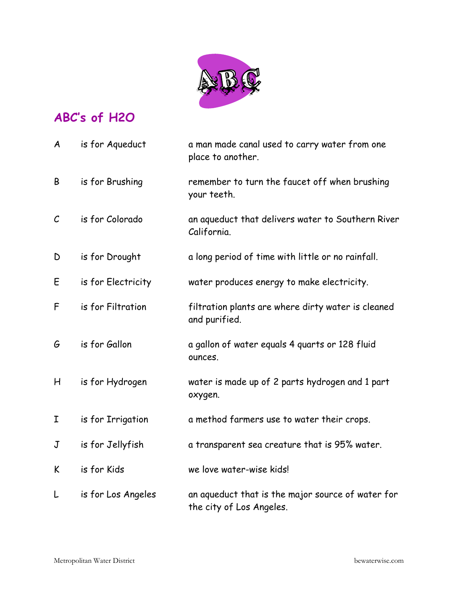

## **ABC's of H2O**

| A                 | is for Aqueduct    | a man made canal used to carry water from one<br>place to another.            |
|-------------------|--------------------|-------------------------------------------------------------------------------|
| B                 | is for Brushing    | remember to turn the faucet off when brushing<br>your teeth.                  |
| $\mathcal{C}_{0}$ | is for Colorado    | an aqueduct that delivers water to Southern River<br>California.              |
| D                 | is for Drought     | a long period of time with little or no rainfall.                             |
| E                 | is for Electricity | water produces energy to make electricity.                                    |
| F                 | is for Filtration  | filtration plants are where dirty water is cleaned<br>and purified.           |
| G                 | is for Gallon      | a gallon of water equals 4 quarts or 128 fluid<br>ounces.                     |
| H                 | is for Hydrogen    | water is made up of 2 parts hydrogen and 1 part<br>oxygen.                    |
| Ι                 | is for Irrigation  | a method farmers use to water their crops.                                    |
| J                 | is for Jellyfish   | a transparent sea creature that is 95% water.                                 |
| K                 | is for Kids        | we love water-wise kids!                                                      |
| L                 | is for Los Angeles | an aqueduct that is the major source of water for<br>the city of Los Angeles. |